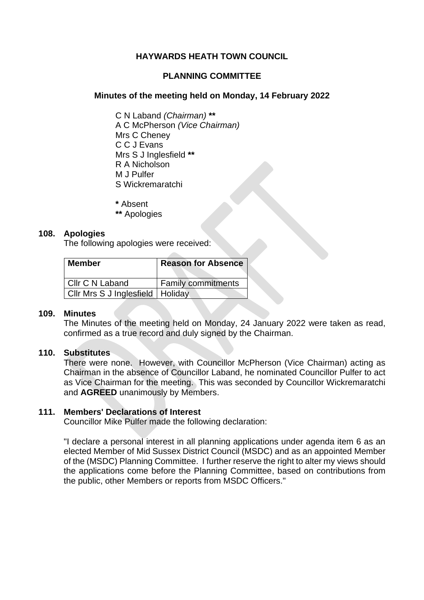## **HAYWARDS HEATH TOWN COUNCIL**

### **PLANNING COMMITTEE**

### **Minutes of the meeting held on Monday, 14 February 2022**

C N Laband *(Chairman)* **\*\*** A C McPherson *(Vice Chairman)* Mrs C Cheney C C J Evans Mrs S J Inglesfield **\*\*** R A Nicholson M J Pulfer S Wickremaratchi

**\*** Absent

**\*\*** Apologies

### **108. Apologies**

The following apologies were received:

| <b>Member</b>                      | <b>Reason for Absence</b> |
|------------------------------------|---------------------------|
| l Cllr C N Laband                  | <b>Family commitments</b> |
| Cilr Mrs S J Inglesfield   Holiday |                           |

### **109. Minutes**

The Minutes of the meeting held on Monday, 24 January 2022 were taken as read, confirmed as a true record and duly signed by the Chairman.

### **110. Substitutes**

There were none. However, with Councillor McPherson (Vice Chairman) acting as Chairman in the absence of Councillor Laband, he nominated Councillor Pulfer to act as Vice Chairman for the meeting. This was seconded by Councillor Wickremaratchi and **AGREED** unanimously by Members.

### **111. Members' Declarations of Interest**

Councillor Mike Pulfer made the following declaration:

"I declare a personal interest in all planning applications under agenda item 6 as an elected Member of Mid Sussex District Council (MSDC) and as an appointed Member of the (MSDC) Planning Committee. I further reserve the right to alter my views should the applications come before the Planning Committee, based on contributions from the public, other Members or reports from MSDC Officers."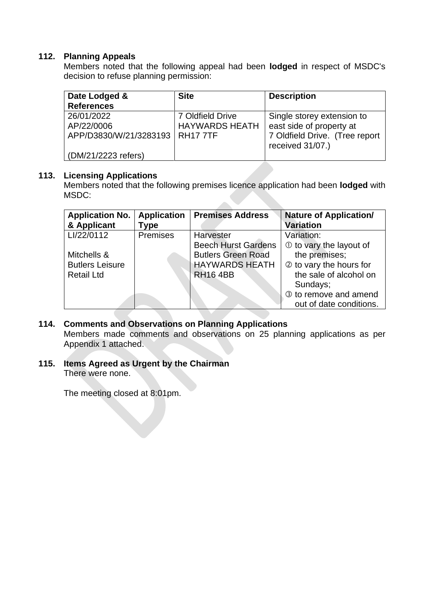## **112. Planning Appeals**

Members noted that the following appeal had been **lodged** in respect of MSDC's decision to refuse planning permission:

| Date Lodged &                     | <b>Site</b>           | <b>Description</b>             |
|-----------------------------------|-----------------------|--------------------------------|
| <b>References</b>                 |                       |                                |
| 26/01/2022                        | 7 Oldfield Drive      | Single storey extension to     |
| AP/22/0006                        | <b>HAYWARDS HEATH</b> | east side of property at       |
| APP/D3830/W/21/3283193   RH17 7TF |                       | 7 Oldfield Drive. (Tree report |
|                                   |                       | received 31/07.)               |
| (DM/21/2223 refers)               |                       |                                |

### **113. Licensing Applications**

Members noted that the following premises licence application had been **lodged** with MSDC: 

| <b>Application No.</b><br>& Applicant | <b>Application</b><br>Type | <b>Premises Address</b>    | <b>Nature of Application/</b><br><b>Variation</b> |
|---------------------------------------|----------------------------|----------------------------|---------------------------------------------------|
| LI/22/0112                            | Premises                   | Harvester                  | Variation:                                        |
|                                       |                            | <b>Beech Hurst Gardens</b> | $\Phi$ to vary the layout of                      |
| Mitchells &                           |                            | <b>Butlers Green Road</b>  | the premises;                                     |
| <b>Butlers Leisure</b>                |                            | <b>HAYWARDS HEATH</b>      | 2 to vary the hours for                           |
| <b>Retail Ltd</b>                     |                            | <b>RH16 4BB</b>            | the sale of alcohol on                            |
|                                       |                            |                            | Sundays;                                          |
|                                       |                            |                            | 3 to remove and amend                             |
|                                       |                            |                            | out of date conditions.                           |

## **114. Comments and Observations on Planning Applications**

Members made comments and observations on 25 planning applications as per Appendix 1 attached.

# **115. Items Agreed as Urgent by the Chairman**

There were none.

The meeting closed at 8:01pm.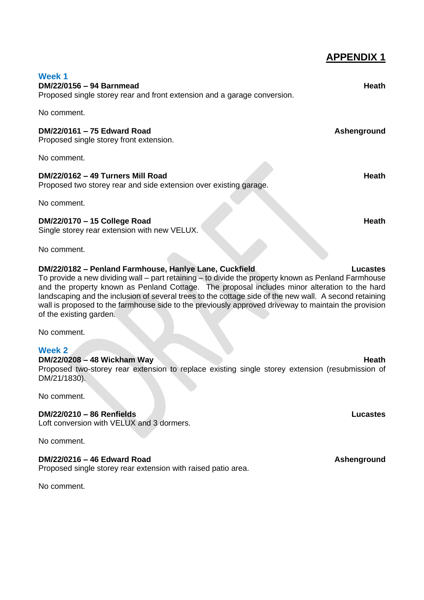| Week 1<br>DM/22/0156 - 94 Barnmead<br>Proposed single storey rear and front extension and a garage conversion.                                                                                                                                                                                                                                                                                                                                                                                                          | <b>Heath</b> |  |
|-------------------------------------------------------------------------------------------------------------------------------------------------------------------------------------------------------------------------------------------------------------------------------------------------------------------------------------------------------------------------------------------------------------------------------------------------------------------------------------------------------------------------|--------------|--|
| No comment.                                                                                                                                                                                                                                                                                                                                                                                                                                                                                                             |              |  |
| DM/22/0161 - 75 Edward Road<br>Proposed single storey front extension.                                                                                                                                                                                                                                                                                                                                                                                                                                                  | Ashenground  |  |
| No comment.                                                                                                                                                                                                                                                                                                                                                                                                                                                                                                             |              |  |
| DM/22/0162 - 49 Turners Mill Road<br>Proposed two storey rear and side extension over existing garage.                                                                                                                                                                                                                                                                                                                                                                                                                  | Heath        |  |
| No comment.                                                                                                                                                                                                                                                                                                                                                                                                                                                                                                             |              |  |
| DM/22/0170 - 15 College Road<br>Single storey rear extension with new VELUX.                                                                                                                                                                                                                                                                                                                                                                                                                                            | Heath        |  |
| No comment.                                                                                                                                                                                                                                                                                                                                                                                                                                                                                                             |              |  |
| DM/22/0182 - Penland Farmhouse, Hanlye Lane, Cuckfield<br>Lucastes<br>To provide a new dividing wall – part retaining – to divide the property known as Penland Farmhouse<br>and the property known as Penland Cottage. The proposal includes minor alteration to the hard<br>landscaping and the inclusion of several trees to the cottage side of the new wall. A second retaining<br>wall is proposed to the farmhouse side to the previously approved driveway to maintain the provision<br>of the existing garden. |              |  |

**APPENDIX 1**

No comment.

### **Week 2**

## **DM/22/0208 – 48 Wickham Way Heath**

Proposed two-storey rear extension to replace existing single storey extension (resubmission of DM/21/1830).

No comment.

## **DM/22/0210 – 86 Renfields Lucastes**

Loft conversion with VELUX and 3 dormers.

No comment.

### **DM/22/0216 – 46 Edward Road Ashenground**

Proposed single storey rear extension with raised patio area.

No comment.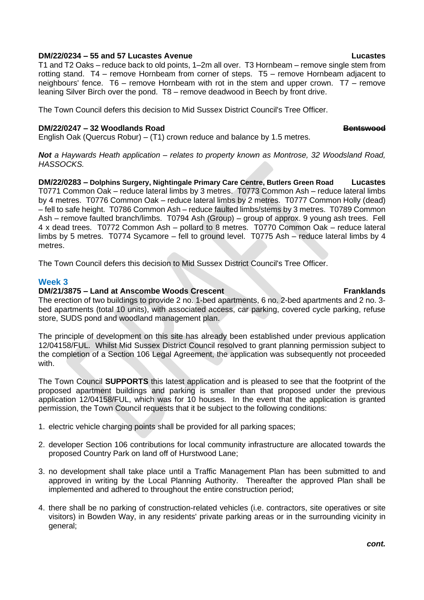### **DM/22/0234 – 55 and 57 Lucastes Avenue Lucastes**

T1 and T2 Oaks – reduce back to old points, 1–2m all over. T3 Hornbeam – remove single stem from rotting stand. T4 – remove Hornbeam from corner of steps. T5 – remove Hornbeam adjacent to neighbours' fence. T6 – remove Hornbeam with rot in the stem and upper crown. T7 – remove leaning Silver Birch over the pond. T8 – remove deadwood in Beech by front drive.

The Town Council defers this decision to Mid Sussex District Council's Tree Officer.

### **DM/22/0247 – 32 Woodlands Road Bentswood**

English Oak (Quercus Robur) – (T1) crown reduce and balance by 1.5 metres.

*Not a Haywards Heath application – relates to property known as Montrose, 32 Woodsland Road, HASSOCKS.*

**DM/22/0283 – Dolphins Surgery, Nightingale Primary Care Centre, Butlers Green Road Lucastes** T0771 Common Oak – reduce lateral limbs by 3 metres. T0773 Common Ash – reduce lateral limbs by 4 metres. T0776 Common Oak – reduce lateral limbs by 2 metres. T0777 Common Holly (dead) – fell to safe height. T0786 Common Ash – reduce faulted limbs/stems by 3 metres. T0789 Common Ash – remove faulted branch/limbs. T0794 Ash (Group) – group of approx. 9 young ash trees. Fell 4 x dead trees. T0772 Common Ash – pollard to 8 metres. T0770 Common Oak – reduce lateral limbs by 5 metres. T0774 Sycamore – fell to ground level. T0775 Ash – reduce lateral limbs by 4 metres.

The Town Council defers this decision to Mid Sussex District Council's Tree Officer.

## **Week 3**

### **DM/21/3875 – Land at Anscombe Woods Crescent Franklands**

The erection of two buildings to provide 2 no. 1-bed apartments, 6 no. 2-bed apartments and 2 no. 3 bed apartments (total 10 units), with associated access, car parking, covered cycle parking, refuse store, SUDS pond and woodland management plan.

The principle of development on this site has already been established under previous application 12/04158/FUL. Whilst Mid Sussex District Council resolved to grant planning permission subject to the completion of a Section 106 Legal Agreement, the application was subsequently not proceeded with.

The Town Council **SUPPORTS** this latest application and is pleased to see that the footprint of the proposed apartment buildings and parking is smaller than that proposed under the previous application 12/04158/FUL, which was for 10 houses. In the event that the application is granted permission, the Town Council requests that it be subject to the following conditions:

- 1. electric vehicle charging points shall be provided for all parking spaces;
- 2. developer Section 106 contributions for local community infrastructure are allocated towards the proposed Country Park on land off of Hurstwood Lane;
- 3. no development shall take place until a Traffic Management Plan has been submitted to and approved in writing by the Local Planning Authority. Thereafter the approved Plan shall be implemented and adhered to throughout the entire construction period;
- 4. there shall be no parking of construction-related vehicles (i.e. contractors, site operatives or site visitors) in Bowden Way, in any residents' private parking areas or in the surrounding vicinity in general;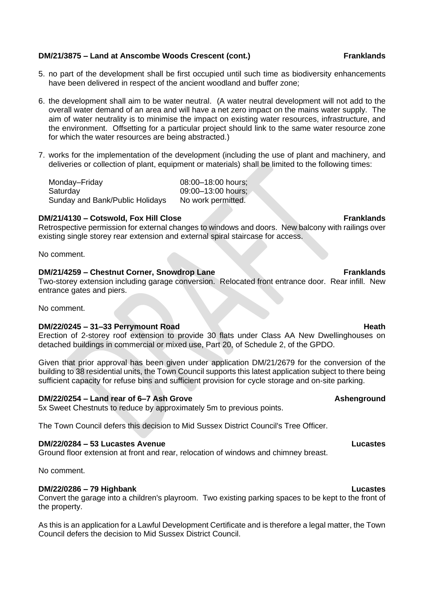#### **DM/21/3875 – Land at Anscombe Woods Crescent (cont.) Franklands**

- 5. no part of the development shall be first occupied until such time as biodiversity enhancements have been delivered in respect of the ancient woodland and buffer zone;
- 6. the development shall aim to be water neutral. (A water neutral development will not add to the overall water demand of an area and will have a net zero impact on the mains water supply. The aim of water neutrality is to minimise the impact on existing water resources, infrastructure, and the environment. Offsetting for a particular project should link to the same water resource zone for which the water resources are being abstracted.)
- 7. works for the implementation of the development (including the use of plant and machinery, and deliveries or collection of plant, equipment or materials) shall be limited to the following times:

Monday–Friday 08:00–18:00 hours; Saturday 09:00-13:00 hours; Sunday and Bank/Public Holidays No work permitted.

#### **DM/21/4130 – Cotswold, Fox Hill Close Franklands**

Retrospective permission for external changes to windows and doors. New balcony with railings over existing single storey rear extension and external spiral staircase for access.

No comment.

#### **DM/21/4259 – Chestnut Corner, Snowdrop Lane Franklands**

Two-storey extension including garage conversion. Relocated front entrance door. Rear infill. New entrance gates and piers.

No comment.

#### **DM/22/0245 – 31–33 Perrymount Road All and Structure Controllering Heath Heath**

Erection of 2-storey roof extension to provide 30 flats under Class AA New Dwellinghouses on detached buildings in commercial or mixed use, Part 20, of Schedule 2, of the GPDO.

Given that prior approval has been given under application DM/21/2679 for the conversion of the building to 38 residential units, the Town Council supports this latest application subject to there being sufficient capacity for refuse bins and sufficient provision for cycle storage and on-site parking.

#### **DM/22/0254 – Land rear of 6–7 Ash Grove Ashenground**

5x Sweet Chestnuts to reduce by approximately 5m to previous points.

The Town Council defers this decision to Mid Sussex District Council's Tree Officer.

#### **DM/22/0284 – 53 Lucastes Avenue Lucastes**

Ground floor extension at front and rear, relocation of windows and chimney breast.

No comment.

#### **DM/22/0286 – 79 Highbank Lucastes**

Convert the garage into a children's playroom. Two existing parking spaces to be kept to the front of the property.

As this is an application for a Lawful Development Certificate and is therefore a legal matter, the Town Council defers the decision to Mid Sussex District Council.